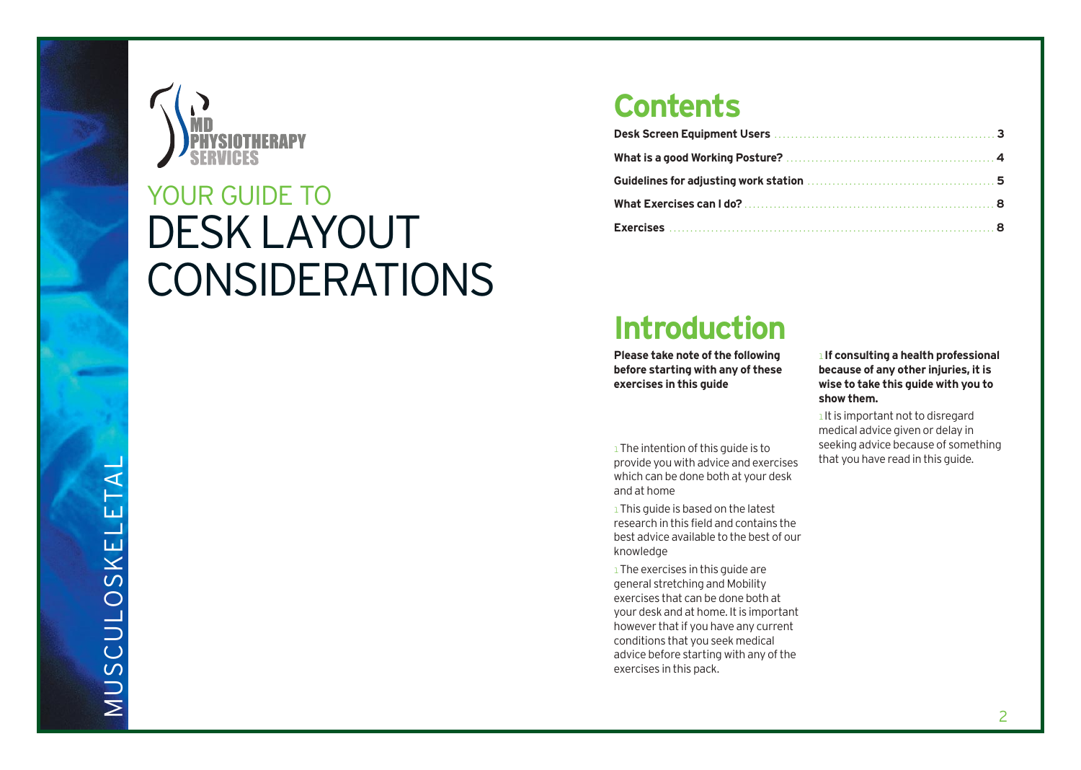

## DESK LAYOUT CONSIDERATIONS YOUR GUIDE TO

### **Contents**

| Guidelines for adjusting work station [11] Contains a substitution of the Suite of Suite of Suite of Suite of S |  |
|-----------------------------------------------------------------------------------------------------------------|--|
|                                                                                                                 |  |
|                                                                                                                 |  |

### **Introduction**

**Please take note of the following before starting with any of these exercises in this guide**

1 The intention of this quide is to provide you with advice and exercises which can be done both at your desk and at home

<sup>1</sup> This guide is based on the latest research in this field and contains the best advice available to the best of our knowledge

 $1$  The exercises in this guide are general stretching and Mobility exercises that can be done both at your desk and at home. It is important however that if you have any current conditions that you seek medical advice before starting with any of the exercises in this pack.

l **If consulting a health professional because of any other injuries, it is wise to take this guide with you to show them.**

1 It is important not to disregard medical advice given or delay in seeking advice because of something that you have read in this guide.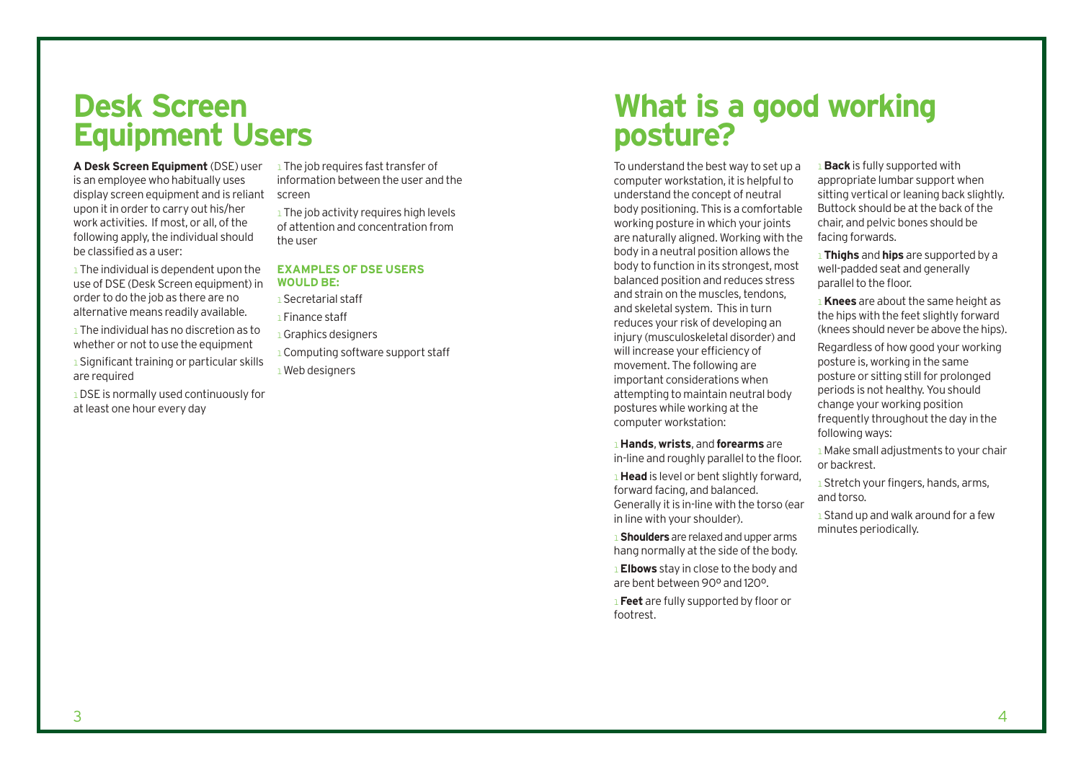# **Desk Screen**

**A Desk Screen Equipment** (DSE) user is an employee who habitually uses display screen equipment and is reliant screen upon it in order to carry out his/her work activities. If most, or all, of the following apply, the individual should be classified as a user:

 $1$  The individual is dependent upon the use of DSE (Desk Screen equipment) in order to do the job as there are no alternative means readily available.

lThe individual has no discretion as to whether or not to use the equipment

1 Significant training or particular skills are required

lDSE is normally used continuously for at least one hour every day

1 The job requires fast transfer of information between the user and the

<sup>1</sup> The job activity requires high levels of attention and concentration from the user

### **EXAMPLES OF DSE USERS WOULD BE:**

lSecretarial staff

lFinance staff

<sup>1</sup> Graphics designers

<sup>1</sup> Computing software support staff  $1$  Web designers

### **What is a good working posture?**

To understand the best way to set up a computer workstation, it is helpful to understand the concept of neutral body positioning. This is a comfortable working posture in which your joints are naturally aligned. Working with the body in a neutral position allows the body to function in its strongest, most balanced position and reduces stress and strain on the muscles, tendons and skeletal system. This in turn reduces your risk of developing an injury (musculoskeletal disorder) and will increase your efficiency of movement. The following are important considerations when attempting to maintain neutral body postures while working at the computer workstation:

### l**Hands**, **wrists**, and **forearms** are

in-line and roughly parallel to the floor. **I Head** is level or bent slightly forward, forward facing, and balanced.

Generally it is in-line with the torso (ear in line with your shoulder). **I** Shoulders are relaxed and upper arms

hang normally at the side of the body.

l**Elbows** stay in close to the body and are bent between 90º and 120º.

l**Feet** are fully supported by floor or footrest.

l**Back** is fully supported with appropriate lumbar support when sitting vertical or leaning back slightly. Buttock should be at the back of the chair, and pelvic bones should be facing forwards.

l**Thighs** and **hips** are supported by a well-padded seat and generally parallel to the floor.

l**Knees** are about the same height as the hips with the feet slightly forward (knees should never be above the hips).

Regardless of how good your working posture is, working in the same posture or sitting still for prolonged periods is not healthy. You should change your working position frequently throughout the day in the following ways:

lMake small adjustments to your chair or backrest.

**I** Stretch your fingers, hands, arms, and torso.

**1** Stand up and walk around for a few minutes periodically.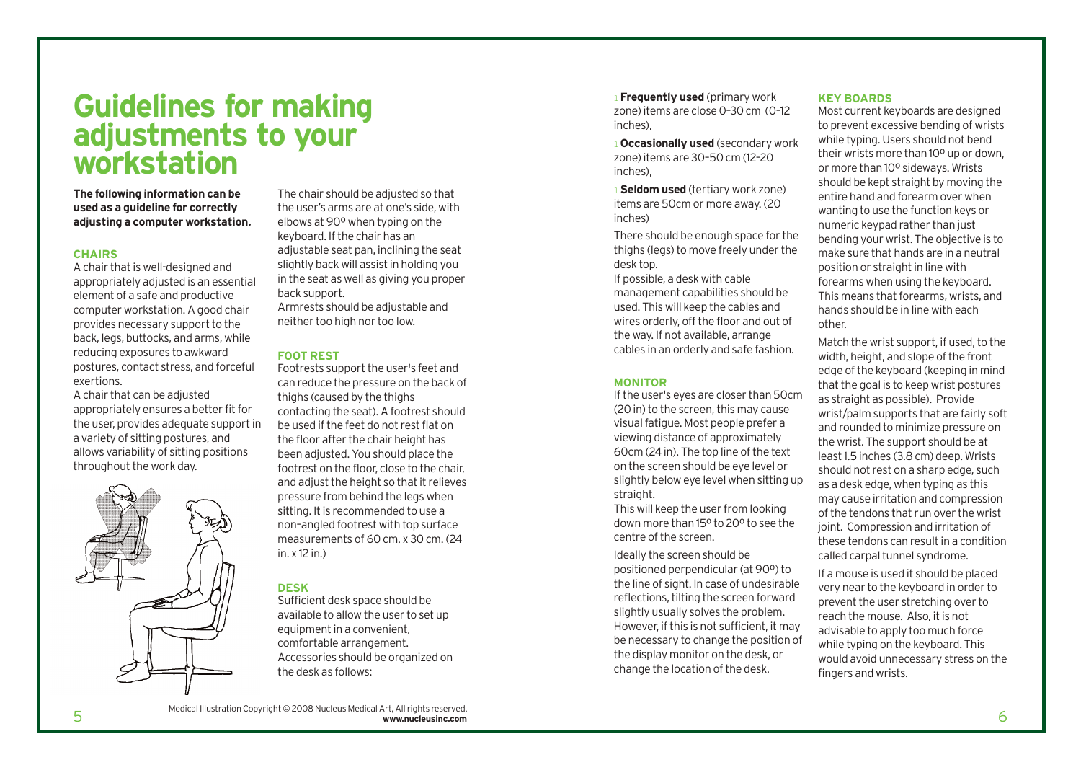### **Guidelines for making adjustments to your workstation**

**The following information can be used as a guideline for correctly adjusting a computer workstation.** 

#### **CHAIRS**

A chair that is well-designed and appropriately adjusted is an essential element of a safe and productive computer workstation. A good chair provides necessary support to the back, legs, buttocks, and arms, while reducing exposures to awkward postures, contact stress, and forceful exertions.

A chair that can be adjusted appropriately ensures a better fit for the user, provides adequate support in a variety of sitting postures, and allows variability of sitting positions throughout the work day.

The chair should be adjusted so that the user's arms are at one's side, with elbows at 90º when typing on the keyboard. If the chair has an adjustable seat pan, inclining the seat slightly back will assist in holding you in the seat as well as giving you proper back support.

Armrests should be adjustable and neither too high nor too low.

### **FOOT REST**

Footrests support the user's feet and can reduce the pressure on the back of thighs (caused by the thighs contacting the seat). A footrest should be used if the feet do not rest flat on the floor after the chair height has been adjusted. You should place the footrest on the floor, close to the chair, and adjust the height so that it relieves pressure from behind the legs when sitting. It is recommended to use a non–angled footrest with top surface measurements of 60 cm. x 30 cm. (24 in  $x 12$  in.)

#### **DESK**

Sufficient desk space should be available to allow the user to set up equipment in a convenient, comfortable arrangement. Accessories should be organized on the desk as follows:

l**Frequently used** (primary work zone) items are close 0–30 cm (0–12  $inches)$ 

l**Occasionally used** (secondary work zone) items are 30–50 cm (12–20  $inches)$ 

l**Seldom used** (tertiary work zone) items are 50cm or more away. (20 inches)

There should be enough space for the thighs (legs) to move freely under the desk top.

If possible, a desk with cable management capabilities should be used. This will keep the cables and wires orderly, off the floor and out of the way. If not available, arrange cables in an orderly and safe fashion.

#### **MONITOR**

If the user's eyes are closer than 50cm (20 in) to the screen, this may cause visual fatigue. Most people prefer a viewing distance of approximately 60cm (24 in). The top line of the text on the screen should be eye level or slightly below eye level when sitting up straight.

This will keep the user from looking down more than 15º to 20º to see the centre of the screen.

Ideally the screen should be positioned perpendicular (at 90º) to the line of sight. In case of undesirable reflections, tilting the screen forward slightly usually solves the problem. However, if this is not sufficient, it may be necessary to change the position of the display monitor on the desk, or change the location of the desk.

#### **KEY BOARDS**

Most current keyboards are designed to prevent excessive bending of wrists while typing. Users should not bend their wrists more than 10º up or down, or more than 10º sideways. Wrists should be kept straight by moving the entire hand and forearm over when wanting to use the function keys or numeric keypad rather than just bending your wrist. The objective is to make sure that hands are in a neutral position or straight in line with forearms when using the keyboard. This means that forearms, wrists, and hands should be in line with each other.

Match the wrist support, if used, to the width, height, and slope of the front edge of the keyboard (keeping in mind that the goal is to keep wrist postures as straight as possible). Provide wrist/palm supports that are fairly soft and rounded to minimize pressure on the wrist. The support should be at least 1.5 inches (3.8 cm) deep. Wrists should not rest on a sharp edge, such as a desk edge, when typing as this may cause irritation and compression of the tendons that run over the wrist joint. Compression and irritation of these tendons can result in a condition called carpal tunnel syndrome.

If a mouse is used it should be placed very near to the keyboard in order to prevent the user stretching over to reach the mouse. Also, it is not advisable to apply too much force while typing on the keyboard. This would avoid unnecessary stress on the fingers and wrists.

Medical Illustration Copyright © 2008 Nucleus Medical Art, All rights reserved.<br>
Medical Communication Copyright © 2008 Nucleus Medical Art, All rights reserved.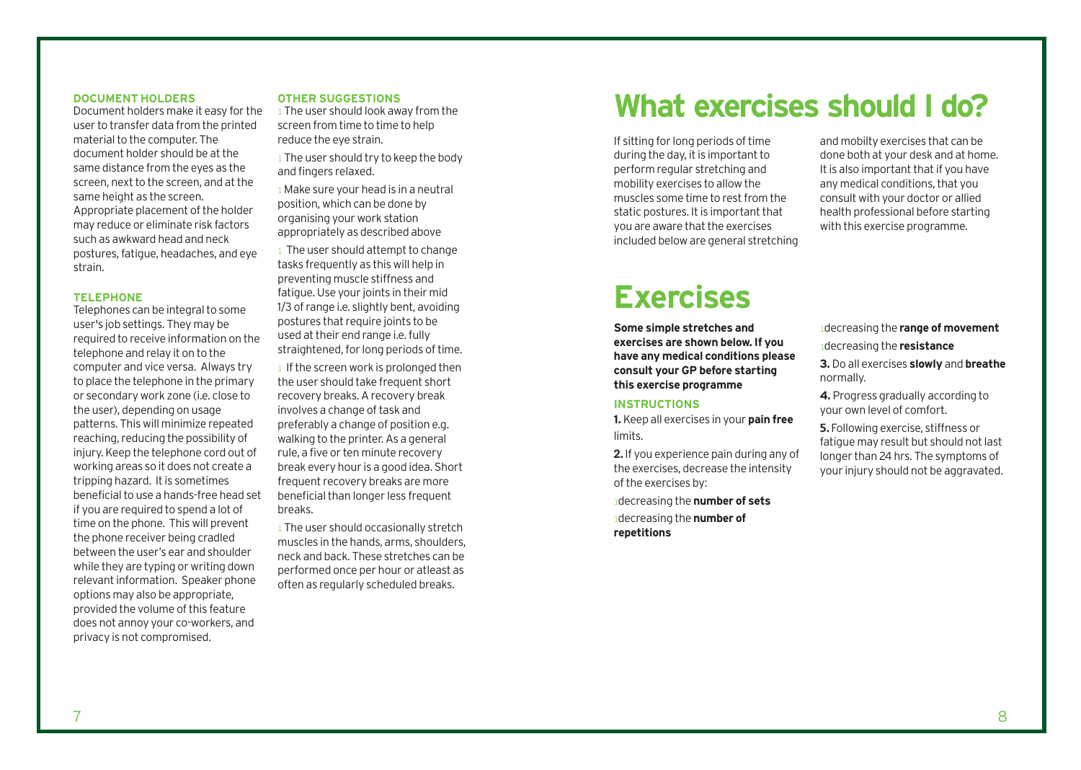### **DOCUMENT HOLDERS**

Document holders make it easy for the user to transfer data from the printed material to the computer. The document holder should be at the same distance from the eyes as the screen, next to the screen, and at the same height as the screen. Appropriate placement of the holder may reduce or eliminate risk factors such as awkward head and neck postures, fatigue, headaches, and eye strain.

### **TELEPHONE**

Telephones can be integral to some user's job settings. They may be required to receive information on the telephone and relay it on to the computer and vice versa. Always try to place the telephone in the primary or secondary work zone (i.e. close to the user), depending on usage patterns. This will minimize repeated reaching, reducing the possibility of injury. Keep the telephone cord out of working areas so it does not create a tripping hazard. It is sometimes beneficial to use a hands-free head set if you are required to spend a lot of time on the phone. This will prevent the phone receiver being cradled between the user's ear and shoulder while they are typing or writing down relevant information. Speaker phone options may also be appropriate, provided the volume of this feature does not annoy your co-workers, and privacy is not compromised.

#### **OTHER SUGGESTIONS**

**I** The user should look away from the screen from time to time to help reduce the eye strain.

 $1$  The user should try to keep the body and fingers relaxed.

1 Make sure your head is in a neutral position, which can be done by organising your work station appropriately as described above

<sup>1</sup> The user should attempt to change tasks frequently as this will help in preventing muscle stiffness and fatigue. Use your joints in their mid 1/3 of range i.e. slightly bent, avoiding postures that require joints to be used at their end range i.e. fully straightened, for long periods of time.

<sup>1</sup> If the screen work is prolonged then the user should take frequent short recovery breaks. A recovery break involves a change of task and preferably a change of position e.g. walking to the printer. As a general rule, a five or ten minute recovery break every hour is a good idea. Short frequent recovery breaks are more beneficial than longer less frequent breaks.

<sup>1</sup> The user should occasionally stretch muscles in the hands, arms, shoulders, neck and back. These stretches can be performed once per hour or atleast as often as regularly scheduled breaks.

### **What exercises should I do?**

If sitting for long periods of time during the day, it is important to perform regular stretching and mobility exercises to allow the muscles some time to rest from the static postures. It is important that you are aware that the exercises included below are general stretching

and mobilty exercises that can be done both at your desk and at home. It is also important that if you have any medical conditions, that you consult with your doctor or allied health professional before starting with this exercise programme.

### **Exercises**

**Some simple stretches and exercises are shown below. If you have any medical conditions please consult your GP before starting this exercise programme**

### **INSTRUCTIONS**

**1.** Keep all exercises in your **pain free** limits.

2. If you experience pain during any of the exercises, decrease the intensity of the exercises by:

ldecreasing the **number of sets** ldecreasing the **number of repetitions**

ldecreasing the **range of movement**

ldecreasing the **resistance**

**3.** Do all exercises **slowly** and **breathe** normally.

**4.** Progress gradually according to your own level of comfort.

5.Following exercise, stiffness or fatigue may result but should not last longer than 24 hrs. The symptoms of your injury should not be aggravated.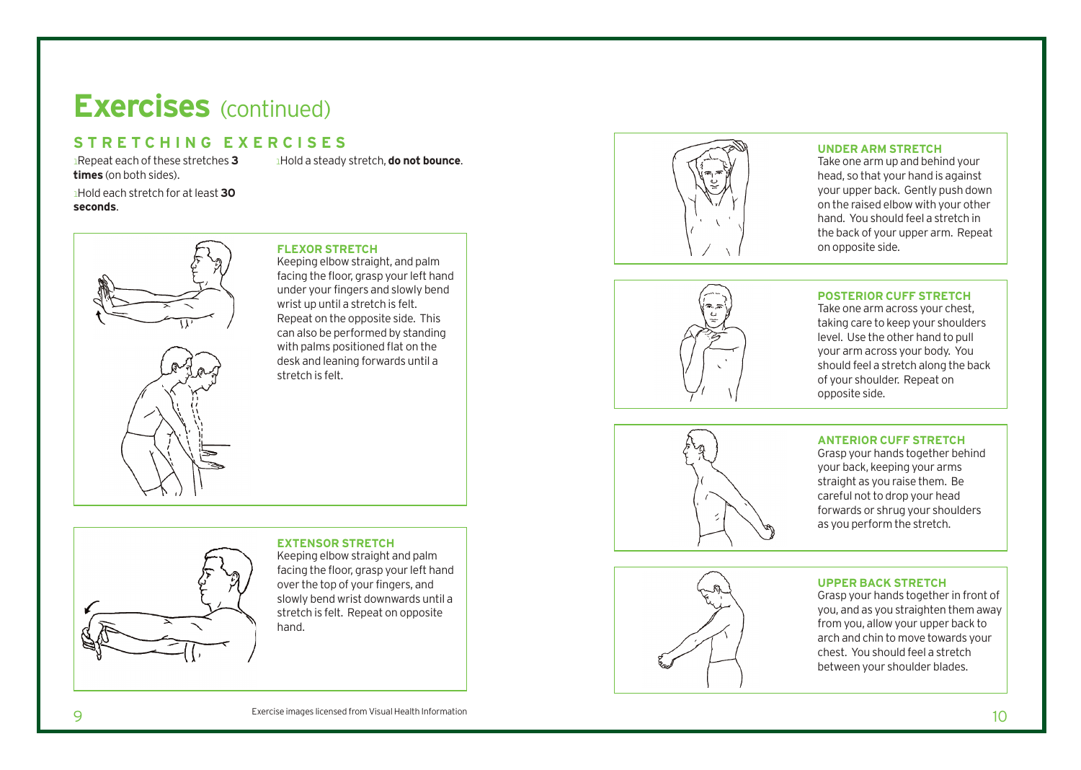### **STRETCHING EXERCISES**

lRepeat each of these stretches **3 times** (on both sides).

lHold a steady stretch, **do not bounce** .

lHold each stretch for at least **3 0 seconds** .





### **FLEXOR STRETCH**

Keeping elbow straight, and palm facing the floor, grasp your left hand under your fingers and slowly bend wrist up until a stretch is felt. Repeat on the opposite side. This can also be performed by standing with palms positioned flat on the desk and leaning forwards until a stretch is felt.



#### **UNDER ARM STRETCH**

Take one arm up and behind your head, so that your hand is against your upper back. Gently push down on the raised elbow with your other hand. You should feel a stretch in the back of your upper arm. Repeat on opposite side.

### **POSTERIOR CUFF STRETCH**

Take one arm across your chest, taking care to keep your shoulders level. Use the other hand to pull your arm across your body. You should feel a str etch along the back of your shoulder. Repeat on opposite side.



### **ANTERIOR CUFF STRETCH**

Grasp your hands together behind your back, keeping your arms straight as you raise them. Be careful not to drop your head forwards or shrug your shoulders as you perform the stretch.



### **EXTENSOR STRETCH**

Keeping elbow straight and palm facing the floor, grasp your left hand over the top of your fingers, and slowly bend wrist downwards until a stretch is felt. Repeat on opposite hand.



### **UPPER B ACK STRETCH**

Grasp your hands together in front of you, and as you straighten them away from you, allow your upper back to arch and chin to move towards your che s t. You should feel a stretch between your shoulder blades.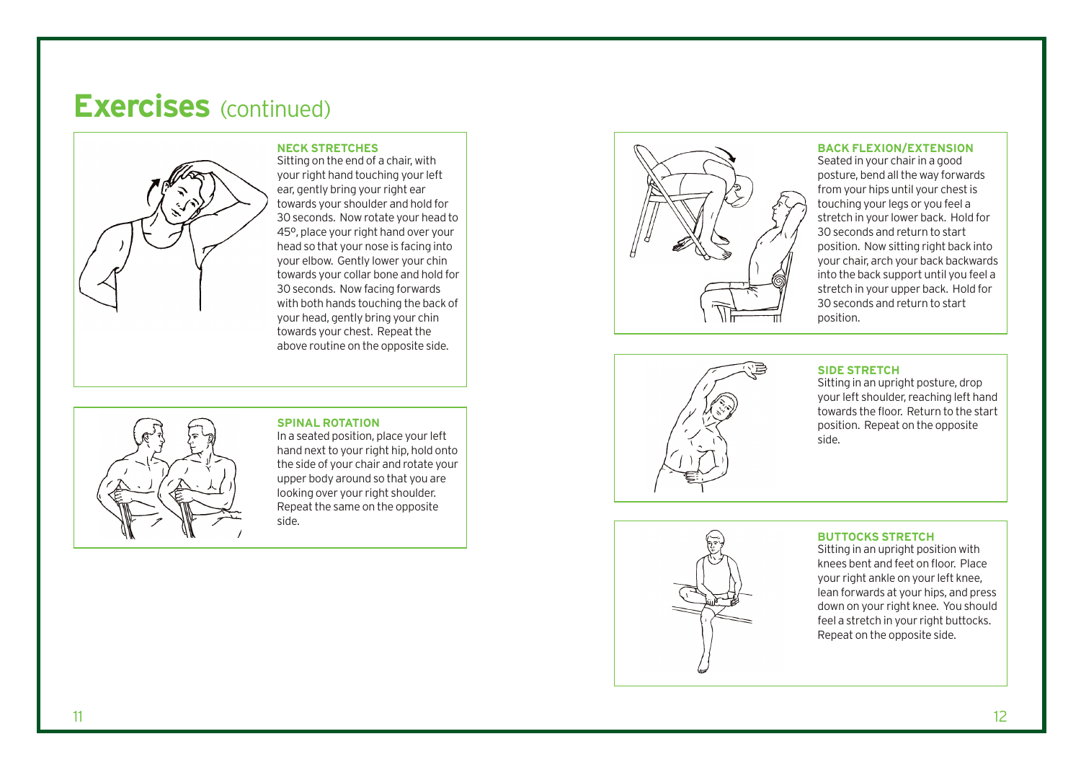

**NECK STRETCHES** Sitting on the end of a chair, with your right hand touching your left ear, gently bring your right ear towards your shoulder and hold for 30 seconds. Now rotate your head to 45º, place your right hand over your head so that your nose is facing into your elbow. Gently lower your chin towards your collar bone and hold for 30 seconds. Now facing forwards with both hands touching the back of your head, gently bring your chin towards your chest. Repeat the above routine on the opposite side.



### **SPINAL ROTATION**

In a seated position, place your left hand next to your right hip, hold onto the side of your chair and r otate your upper body around so that you ar e looking over your right shoulder. Repeat the same on the opposite side.



### **BACK FLEXION/EXTENSION**

Seated in your chair in a good posture, bend all the way forwards from your hips until your chest is touching your legs or you feel a stretch in your lower back. Hold for 30 seconds and return to start position. Now sitting right back into your chair, arch your back backwards into the back support until you feel a stretch in your upper back. Hold for 30 seconds and return to start position.



#### **SIDE STRETCH**

Sitting in an upright posture, drop your left shoulder, reaching left hand towards the floor. Return to the start position. Repeat on the opposit e side.



### **BUTTOCKS STRETCH**

Sitting in an upright position with knees bent and feet on floor. Place your right ankle on your left knee, lean forwards at your hips, and press down on your right knee. You should feel a stretch in your right buttocks. Repeat on the opposite side.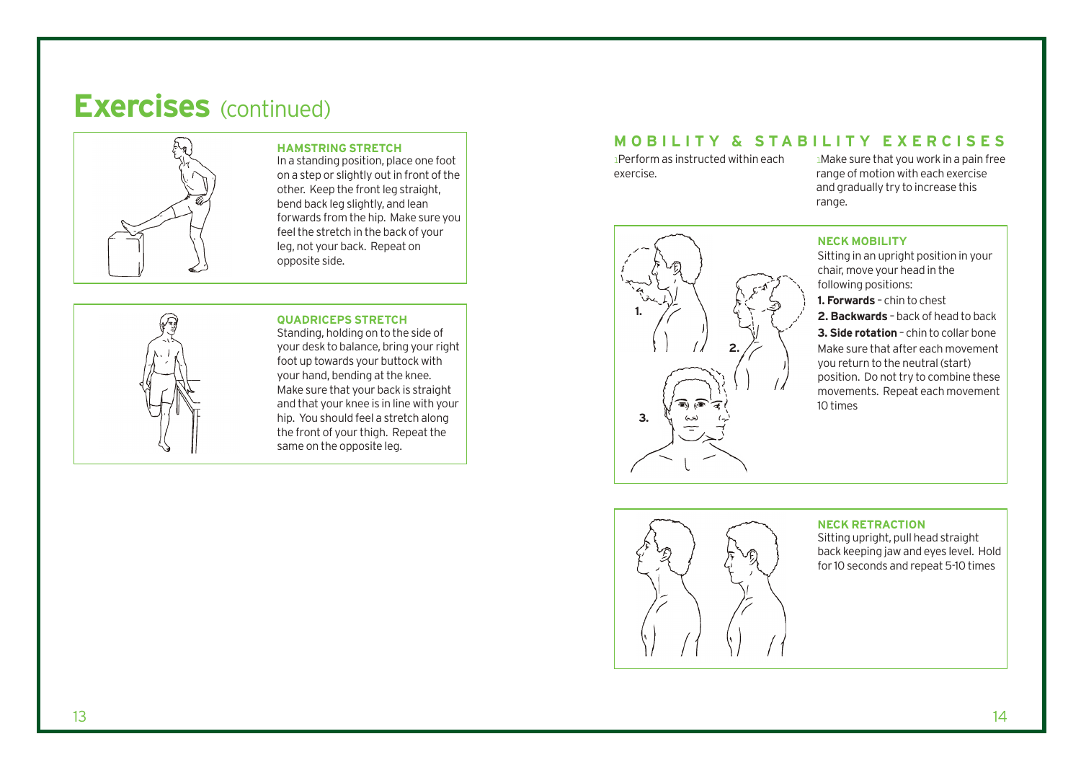

#### **HAMSTRING STRETCH**

In a standing position, place one foot on a step or slightly out in front of the other. Keep the front leg straight, bend back leg slightly, and lean forwards from the hip. Make sure you feel the stretch in the back of your leg, not your back. Repeat on opposite side.



### **QUADRICEPS STRETCH**

Standing, holding on to the side of your desk to balance, bring your right foot up towards your buttock with your hand, bending at the knee. Make sure that your back is straight and that your knee is in line with your hip. You should feel a stretch along the front of your thigh. Repeat the same on the opposite leg.

### **MOBILITY & STABILITY EXERCISES**

lPerform as instructed within each exercise.

lMake sure that you work in a pain free range of motion with each exercise and gradually try to increase this range.



#### **NECK MOBILITY**

Sitting in an upright position in your chair, move your head in the following positions:

**1. Forwards** – chin to chest

**2. Backwards** – back of head to back **3. Side rotation** – chin to collar bone Make sure that after each movement you return to the neutral (start) position. Do not try to combine these movements. Repeat each movement 10 times



### **NECK RETRACTION**

Sitting upright, pull head straight back keeping jaw and eyes level. Hold for 10 seconds and repeat 5-10 times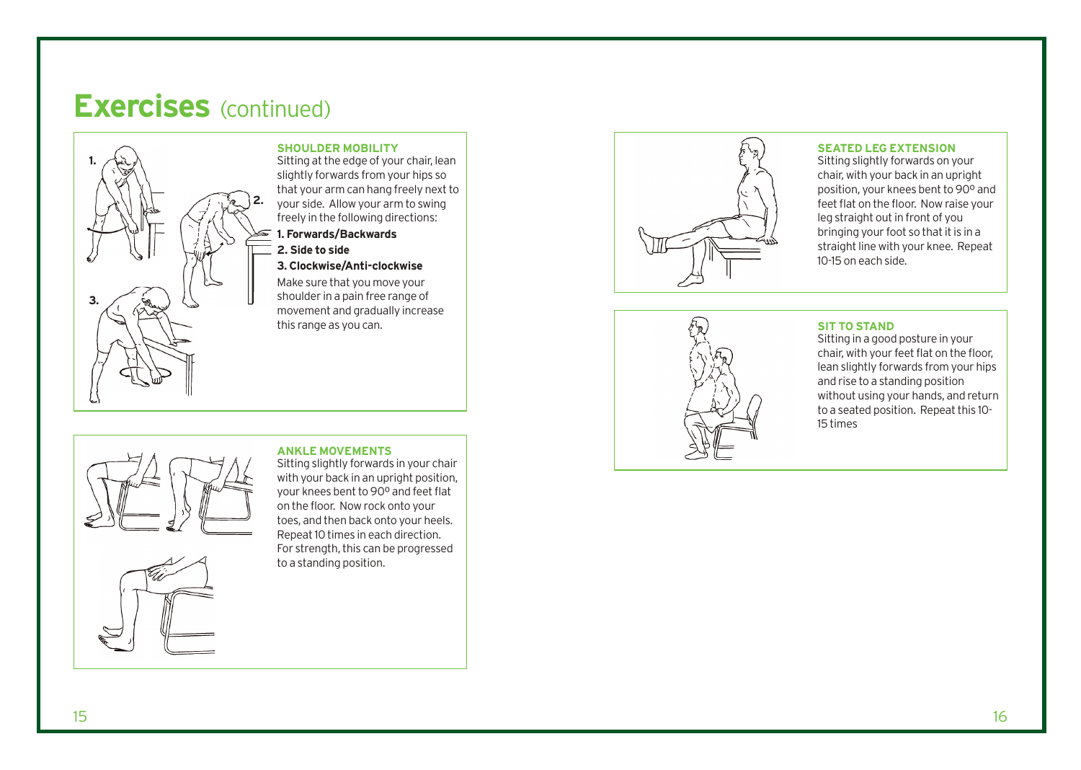

### **SHOULDER MOBILITY**

Sitting at the edge of your chair, lean slightly forwards from your hips so that your arm can hang freely next to your side. Allow your arm to swing freely in the following directions:

### **1. Forwards/Backwards**

**2. Side to side**

### **3. Clockwise/Anti-clockwise**

Make sure that you move your shoulder in a pain free range of movement and gradually increase this range as you can.



### **SEATED LEG EXTENSION**

Sitting slightly forwards on your chair, with your back in an upright position, your knees bent to 90º and feet flat on the floor. Now raise your leg straight out in front of you bringing your foot so that it is in a straight line with your knee. Repeat 10-15 on each side.



### **SIT TO STAND**

Sitting in a good posture in your chair, with your feet flat on the floor, lean slightly forwards from your hips and rise to a standing position without using your hands, and return to a seated position. Repeat this 10- 15 times



#### **ANKLE MOVEMENTS**

Sitting slightly forwards in your chair with your back in an upright position, your knees bent to 90º and feet flat on the floor. Now rock onto your toes, and then back onto your heels. Repeat 10 times in each direction. For strength, this can be progressed to a standing position.